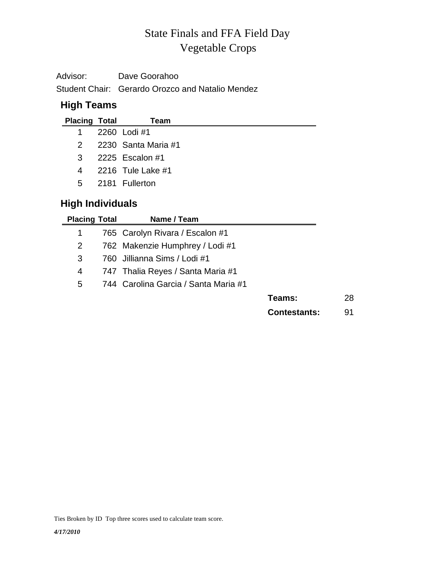# Vegetable Crops State Finals and FFA Field Day

| Advisor: | Dave Goorahoo                                    |
|----------|--------------------------------------------------|
|          | Student Chair: Gerardo Orozco and Natalio Mendez |

# **High Teams**

| <b>Placing Total</b> | Team                  |
|----------------------|-----------------------|
| 1.                   | 2260 Lodi #1          |
|                      | 2 2230 Santa Maria #1 |
| 3                    | 2225 Escalon #1       |
| 4                    | 2216 Tule Lake #1     |
| $5 -$                | 2181 Fullerton        |

# **High Individuals**

| <b>Placing Total</b> | Name / Team                          |              |    |
|----------------------|--------------------------------------|--------------|----|
| 1                    | 765 Carolyn Rivara / Escalon #1      |              |    |
| 2                    | 762 Makenzie Humphrey / Lodi #1      |              |    |
| 3                    | 760 Jillianna Sims / Lodi #1         |              |    |
| 4                    | 747 Thalia Reyes / Santa Maria #1    |              |    |
| 5                    | 744 Carolina Garcia / Santa Maria #1 |              |    |
|                      |                                      | Teams:       | 28 |
|                      |                                      | Contestants: | 91 |
|                      |                                      |              |    |

Ties Broken by ID Top three scores used to calculate team score.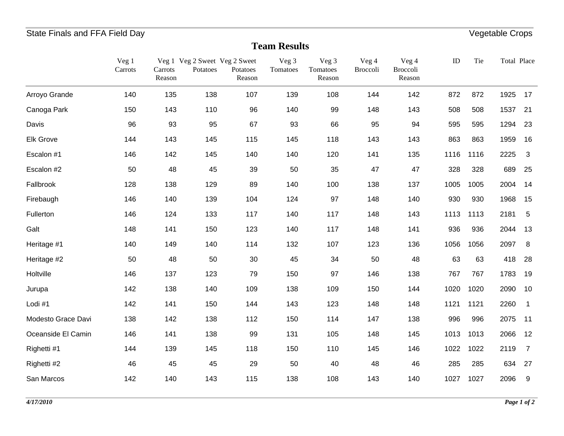# State Finals and FFA Field Day **Vegetable Crops**

#### **Team Results**

|                    | Veg 1<br>Carrots | Carrots<br>Reason | Veg 1 Veg 2 Sweet Veg 2 Sweet<br>Potatoes | Potatoes<br>Reason | Veg 3<br>Tomatoes | Veg 3<br>Tomatoes<br>Reason | Veg 4<br>Broccoli | Veg 4<br><b>Broccoli</b><br>Reason | ID   | Tie  | Total Place |                |
|--------------------|------------------|-------------------|-------------------------------------------|--------------------|-------------------|-----------------------------|-------------------|------------------------------------|------|------|-------------|----------------|
| Arroyo Grande      | 140              | 135               | 138                                       | 107                | 139               | 108                         | 144               | 142                                | 872  | 872  | 1925        | 17             |
| Canoga Park        | 150              | 143               | 110                                       | 96                 | 140               | 99                          | 148               | 143                                | 508  | 508  | 1537        | 21             |
| Davis              | 96               | 93                | 95                                        | 67                 | 93                | 66                          | 95                | 94                                 | 595  | 595  | 1294        | 23             |
| Elk Grove          | 144              | 143               | 145                                       | 115                | 145               | 118                         | 143               | 143                                | 863  | 863  | 1959        | 16             |
| Escalon #1         | 146              | 142               | 145                                       | 140                | 140               | 120                         | 141               | 135                                | 1116 | 1116 | 2225        | 3              |
| Escalon #2         | 50               | 48                | 45                                        | 39                 | 50                | 35                          | 47                | 47                                 | 328  | 328  | 689         | 25             |
| Fallbrook          | 128              | 138               | 129                                       | 89                 | 140               | 100                         | 138               | 137                                | 1005 | 1005 | 2004        | 14             |
| Firebaugh          | 146              | 140               | 139                                       | 104                | 124               | 97                          | 148               | 140                                | 930  | 930  | 1968        | 15             |
| Fullerton          | 146              | 124               | 133                                       | 117                | 140               | 117                         | 148               | 143                                | 1113 | 1113 | 2181        | 5              |
| Galt               | 148              | 141               | 150                                       | 123                | 140               | 117                         | 148               | 141                                | 936  | 936  | 2044        | 13             |
| Heritage #1        | 140              | 149               | 140                                       | 114                | 132               | 107                         | 123               | 136                                | 1056 | 1056 | 2097        | 8              |
| Heritage #2        | 50               | 48                | 50                                        | $30\,$             | 45                | 34                          | 50                | 48                                 | 63   | 63   | 418         | 28             |
| Holtville          | 146              | 137               | 123                                       | 79                 | 150               | 97                          | 146               | 138                                | 767  | 767  | 1783        | 19             |
| Jurupa             | 142              | 138               | 140                                       | 109                | 138               | 109                         | 150               | 144                                | 1020 | 1020 | 2090        | 10             |
| Lodi #1            | 142              | 141               | 150                                       | 144                | 143               | 123                         | 148               | 148                                | 1121 | 1121 | 2260        | $\mathbf{1}$   |
| Modesto Grace Davi | 138              | 142               | 138                                       | 112                | 150               | 114                         | 147               | 138                                | 996  | 996  | 2075        | 11             |
| Oceanside El Camin | 146              | 141               | 138                                       | 99                 | 131               | 105                         | 148               | 145                                | 1013 | 1013 | 2066        | 12             |
| Righetti #1        | 144              | 139               | 145                                       | 118                | 150               | 110                         | 145               | 146                                | 1022 | 1022 | 2119        | $\overline{7}$ |
| Righetti #2        | 46               | 45                | 45                                        | 29                 | 50                | 40                          | 48                | 46                                 | 285  | 285  | 634         | 27             |
| San Marcos         | 142              | 140               | 143                                       | 115                | 138               | 108                         | 143               | 140                                | 1027 | 1027 | 2096        | 9              |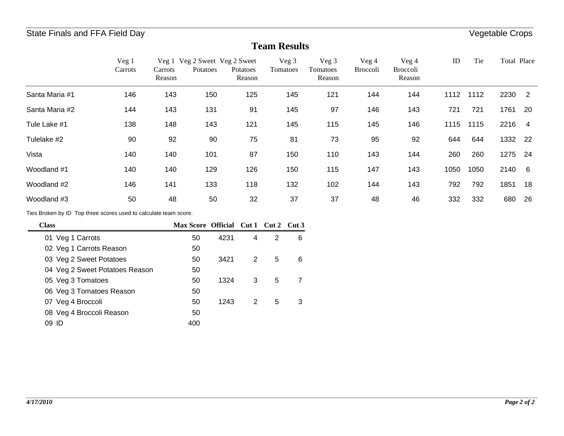#### **Team Results**

|                | Veg 1<br>Carrots | Carrots<br>Reason | Veg 1 Veg 2 Sweet Veg 2 Sweet<br>Potatoes | Potatoes<br>Reason | Veg 3<br>Tomatoes | Veg 3<br>Tomatoes<br>Reason | Veg 4<br><b>Broccoli</b> | Veg 4<br><b>Broccoli</b><br>Reason | ID   | Tie  | Total Place |                |
|----------------|------------------|-------------------|-------------------------------------------|--------------------|-------------------|-----------------------------|--------------------------|------------------------------------|------|------|-------------|----------------|
| Santa Maria #1 | 146              | 143               | 150                                       | 125                | 145               | 121                         | 144                      | 144                                | 1112 | 1112 | 2230        | $\overline{2}$ |
| Santa Maria #2 | 144              | 143               | 131                                       | 91                 | 145               | 97                          | 146                      | 143                                | 721  | 721  | 1761        | -20            |
| Tule Lake #1   | 138              | 148               | 143                                       | 121                | 145               | 115                         | 145                      | 146                                | 1115 | 1115 | 2216        | $\overline{4}$ |
| Tulelake #2    | 90               | 92                | 90                                        | 75                 | 81                | 73                          | 95                       | 92                                 | 644  | 644  | 1332        | - 22           |
| Vista          | 140              | 140               | 101                                       | 87                 | 150               | 110                         | 143                      | 144                                | 260  | 260  | 1275        | 24             |
| Woodland #1    | 140              | 140               | 129                                       | 126                | 150               | 115                         | 147                      | 143                                | 1050 | 1050 | 2140        | - 6            |
| Woodland #2    | 146              | 141               | 133                                       | 118                | 132               | 102                         | 144                      | 143                                | 792  | 792  | 1851        | 18             |
| Woodland #3    | 50               | 48                | 50                                        | 32                 | 37                | 37                          | 48                       | 46                                 | 332  | 332  | 680         | 26             |

Ties Broken by ID Top three scores used to calculate team score.

| Class                          | Max Score Official Cut 1 Cut 2 Cut 3 |      |   |   |   |
|--------------------------------|--------------------------------------|------|---|---|---|
| 01 Veg 1 Carrots               | 50                                   | 4231 | 4 | 2 | 6 |
| 02 Veg 1 Carrots Reason        | 50                                   |      |   |   |   |
| 03 Veg 2 Sweet Potatoes        | 50                                   | 3421 | 2 | 5 | 6 |
| 04 Veg 2 Sweet Potatoes Reason | 50                                   |      |   |   |   |
| 05 Veg 3 Tomatoes              | 50                                   | 1324 | 3 | 5 | 7 |
| 06 Veg 3 Tomatoes Reason       | 50                                   |      |   |   |   |
| 07 Veg 4 Broccoli              | 50                                   | 1243 | 2 | 5 | 3 |
| 08 Veg 4 Broccoli Reason       | 50                                   |      |   |   |   |
| 09 ID                          | 400                                  |      |   |   |   |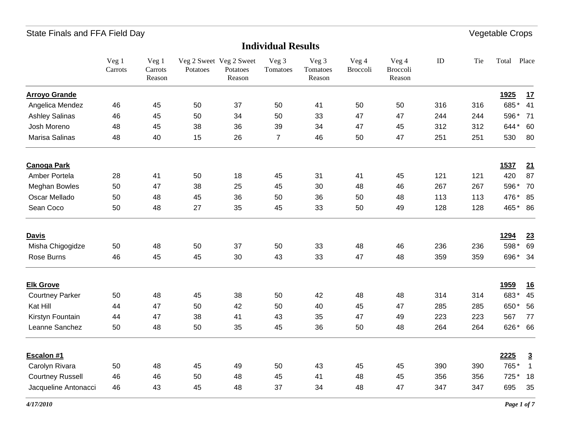#### **Individual Results**

|                         | Veg 1<br>Carrots | Veg 1<br>Carrots<br>Reason | Potatoes | Veg 2 Sweet Veg 2 Sweet<br>Potatoes<br>Reason | Veg 3<br>Tomatoes | Veg 3<br>Tomatoes<br>Reason | Veg 4<br><b>Broccoli</b> | Veg 4<br>Broccoli<br>Reason | $\rm ID$ | Tie | Total       | Place          |
|-------------------------|------------------|----------------------------|----------|-----------------------------------------------|-------------------|-----------------------------|--------------------------|-----------------------------|----------|-----|-------------|----------------|
| <b>Arroyo Grande</b>    |                  |                            |          |                                               |                   |                             |                          |                             |          |     | <u>1925</u> | 17             |
| Angelica Mendez         | 46               | 45                         | 50       | 37                                            | 50                | 41                          | 50                       | 50                          | 316      | 316 | 685*        | 41             |
| <b>Ashley Salinas</b>   | 46               | 45                         | 50       | 34                                            | 50                | 33                          | 47                       | 47                          | 244      | 244 | 596*        | 71             |
| Josh Moreno             | 48               | 45                         | 38       | 36                                            | 39                | 34                          | 47                       | 45                          | 312      | 312 | 644*        | 60             |
| Marisa Salinas          | 48               | 40                         | 15       | 26                                            | $\overline{7}$    | 46                          | 50                       | 47                          | 251      | 251 | 530         | 80             |
| <b>Canoga Park</b>      |                  |                            |          |                                               |                   |                             |                          |                             |          |     | 1537        | 21             |
| Amber Portela           | 28               | 41                         | 50       | 18                                            | 45                | 31                          | 41                       | 45                          | 121      | 121 | 420         | 87             |
| Meghan Bowles           | 50               | 47                         | 38       | 25                                            | 45                | 30                          | 48                       | 46                          | 267      | 267 | 596*        | 70             |
| Oscar Mellado           | 50               | 48                         | 45       | 36                                            | 50                | 36                          | 50                       | 48                          | 113      | 113 | 476*        | 85             |
| Sean Coco               | 50               | 48                         | 27       | 35                                            | 45                | 33                          | 50                       | 49                          | 128      | 128 | 465* 86     |                |
| <b>Davis</b>            |                  |                            |          |                                               |                   |                             |                          |                             |          |     | 1294        | 23             |
| Misha Chigogidze        | 50               | 48                         | 50       | 37                                            | 50                | 33                          | 48                       | 46                          | 236      | 236 | 598*        | 69             |
| Rose Burns              | 46               | 45                         | 45       | 30                                            | 43                | 33                          | 47                       | 48                          | 359      | 359 | 696* 34     |                |
| <b>Elk Grove</b>        |                  |                            |          |                                               |                   |                             |                          |                             |          |     | <u>1959</u> | <u>16</u>      |
| <b>Courtney Parker</b>  | 50               | 48                         | 45       | 38                                            | 50                | 42                          | 48                       | 48                          | 314      | 314 | 683*        | 45             |
| Kat Hill                | 44               | 47                         | 50       | 42                                            | 50                | 40                          | 45                       | 47                          | 285      | 285 | 650*        | 56             |
| Kirstyn Fountain        | 44               | 47                         | 38       | 41                                            | 43                | 35                          | 47                       | 49                          | 223      | 223 | 567         | 77             |
| Leanne Sanchez          | 50               | 48                         | 50       | 35                                            | 45                | 36                          | 50                       | 48                          | 264      | 264 | 626*        | 66             |
| Escalon #1              |                  |                            |          |                                               |                   |                             |                          |                             |          |     | 2225        | $\overline{3}$ |
| Carolyn Rivara          | 50               | 48                         | 45       | 49                                            | 50                | 43                          | 45                       | 45                          | 390      | 390 | 765*        | $\overline{1}$ |
| <b>Courtney Russell</b> | 46               | 46                         | 50       | 48                                            | 45                | 41                          | 48                       | 45                          | 356      | 356 | 725*        | 18             |
| Jacqueline Antonacci    | 46               | 43                         | 45       | 48                                            | 37                | 34                          | 48                       | 47                          | 347      | 347 | 695         | 35             |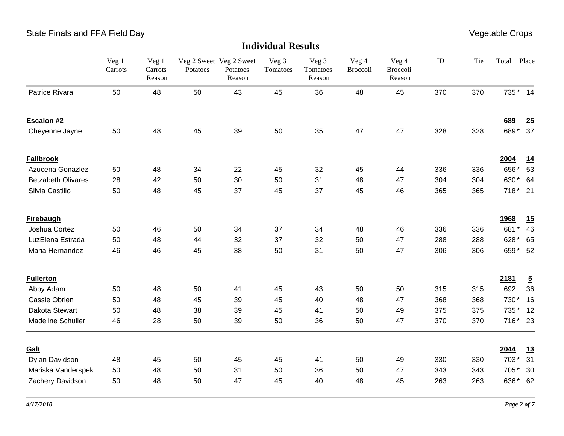| <b>Individual Results</b> |                  |                                       |          |                                               |                   |                             |                   |                             |     |     |         |                |
|---------------------------|------------------|---------------------------------------|----------|-----------------------------------------------|-------------------|-----------------------------|-------------------|-----------------------------|-----|-----|---------|----------------|
|                           | Veg 1<br>Carrots | Veg <sub>1</sub><br>Carrots<br>Reason | Potatoes | Veg 2 Sweet Veg 2 Sweet<br>Potatoes<br>Reason | Veg 3<br>Tomatoes | Veg 3<br>Tomatoes<br>Reason | Veg 4<br>Broccoli | Veg 4<br>Broccoli<br>Reason | ID  | Tie | Total   | Place          |
| Patrice Rivara            | 50               | 48                                    | 50       | 43                                            | 45                | 36                          | 48                | 45                          | 370 | 370 | 735* 14 |                |
| Escalon #2                |                  |                                       |          |                                               |                   |                             |                   |                             |     |     | 689     | 25             |
| Cheyenne Jayne            | 50               | 48                                    | 45       | 39                                            | 50                | 35                          | 47                | 47                          | 328 | 328 | 689*    | 37             |
| <b>Fallbrook</b>          |                  |                                       |          |                                               |                   |                             |                   |                             |     |     | 2004    | 14             |
| Azucena Gonazlez          | 50               | 48                                    | 34       | 22                                            | 45                | 32                          | 45                | 44                          | 336 | 336 | 656*    | 53             |
| <b>Betzabeth Olivares</b> | 28               | 42                                    | 50       | 30                                            | 50                | 31                          | 48                | 47                          | 304 | 304 | 630*    | 64             |
| Silvia Castillo           | 50               | 48                                    | 45       | 37                                            | 45                | 37                          | 45                | 46                          | 365 | 365 | 718* 21 |                |
| <b>Firebaugh</b>          |                  |                                       |          |                                               |                   |                             |                   |                             |     |     | 1968    | <u>15</u>      |
| Joshua Cortez             | 50               | 46                                    | 50       | 34                                            | 37                | 34                          | 48                | 46                          | 336 | 336 | 681*    | 46             |
| LuzElena Estrada          | 50               | 48                                    | 44       | 32                                            | 37                | 32                          | 50                | 47                          | 288 | 288 | 628*    | 65             |
| Maria Hernandez           | 46               | 46                                    | 45       | 38                                            | 50                | 31                          | 50                | 47                          | 306 | 306 | 659* 52 |                |
| <b>Fullerton</b>          |                  |                                       |          |                                               |                   |                             |                   |                             |     |     | 2181    | $\overline{5}$ |
| Abby Adam                 | 50               | 48                                    | 50       | 41                                            | 45                | 43                          | 50                | 50                          | 315 | 315 | 692     | 36             |
| Cassie Obrien             | 50               | 48                                    | 45       | 39                                            | 45                | 40                          | 48                | 47                          | 368 | 368 | 730*    | 16             |
| Dakota Stewart            | 50               | 48                                    | 38       | 39                                            | 45                | 41                          | 50                | 49                          | 375 | 375 | 735*    | 12             |
| Madeline Schuller         | 46               | 28                                    | 50       | 39                                            | 50                | 36                          | 50                | 47                          | 370 | 370 | 716* 23 |                |
| Galt                      |                  |                                       |          |                                               |                   |                             |                   |                             |     |     | 2044    | 13             |
| Dylan Davidson            | 48               | 45                                    | 50       | 45                                            | 45                | 41                          | 50                | 49                          | 330 | 330 | 703*    | 31             |
| Mariska Vanderspek        | 50               | 48                                    | 50       | 31                                            | 50                | 36                          | 50                | 47                          | 343 | 343 | 705*    | 30             |
| Zachery Davidson          | 50               | 48                                    | 50       | 47                                            | 45                | 40                          | 48                | 45                          | 263 | 263 | 636*    | 62             |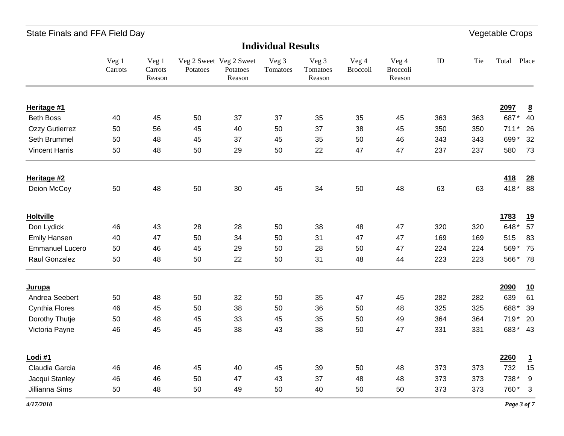#### **Individual Results**

|                        | Veg 1<br>Carrots | Veg 1<br>Carrots<br>Reason | Potatoes | Veg 2 Sweet Veg 2 Sweet<br>Potatoes<br>Reason | Veg 3<br>Tomatoes | Veg 3<br>Tomatoes<br>Reason | Veg 4<br><b>Broccoli</b> | Veg 4<br>Broccoli<br>Reason | $\rm ID$ | Tie | Total  | Place                   |
|------------------------|------------------|----------------------------|----------|-----------------------------------------------|-------------------|-----------------------------|--------------------------|-----------------------------|----------|-----|--------|-------------------------|
| Heritage #1            |                  |                            |          |                                               |                   |                             |                          |                             |          |     | 2097   | $\overline{\mathbf{8}}$ |
| <b>Beth Boss</b>       | 40               | 45                         | 50       | 37                                            | 37                | 35                          | 35                       | 45                          | 363      | 363 |        | 687* 40                 |
| Ozzy Gutierrez         | 50               | 56                         | 45       | 40                                            | 50                | 37                          | 38                       | 45                          | 350      | 350 | $711*$ | 26                      |
| Seth Brummel           | 50               | 48                         | 45       | 37                                            | 45                | 35                          | 50                       | 46                          | 343      | 343 | 699*   | 32                      |
| <b>Vincent Harris</b>  | 50               | 48                         | 50       | 29                                            | 50                | 22                          | 47                       | 47                          | 237      | 237 | 580    | 73                      |
| Heritage #2            |                  |                            |          |                                               |                   |                             |                          |                             |          |     | 418    | 28                      |
| Deion McCoy            | 50               | 48                         | 50       | 30                                            | 45                | 34                          | 50                       | 48                          | 63       | 63  | 418*   | 88                      |
| <b>Holtville</b>       |                  |                            |          |                                               |                   |                             |                          |                             |          |     | 1783   | <u>19</u>               |
| Don Lydick             | 46               | 43                         | 28       | 28                                            | 50                | 38                          | 48                       | 47                          | 320      | 320 | 648*   | 57                      |
| <b>Emily Hansen</b>    | 40               | 47                         | 50       | 34                                            | 50                | 31                          | 47                       | 47                          | 169      | 169 | 515    | 83                      |
| <b>Emmanuel Lucero</b> | 50               | 46                         | 45       | 29                                            | 50                | 28                          | 50                       | 47                          | 224      | 224 |        | 569* 75                 |
| Raul Gonzalez          | 50               | 48                         | 50       | 22                                            | 50                | 31                          | 48                       | 44                          | 223      | 223 |        | 566* 78                 |
| <b>Jurupa</b>          |                  |                            |          |                                               |                   |                             |                          |                             |          |     | 2090   | <u>10</u>               |
| Andrea Seebert         | 50               | 48                         | 50       | 32                                            | 50                | 35                          | 47                       | 45                          | 282      | 282 | 639    | 61                      |
| <b>Cynthia Flores</b>  | 46               | 45                         | 50       | 38                                            | 50                | 36                          | 50                       | 48                          | 325      | 325 | 688*   | 39                      |
| Dorothy Thutje         | 50               | 48                         | 45       | 33                                            | 45                | 35                          | 50                       | 49                          | 364      | 364 | 719*   | 20                      |
| Victoria Payne         | 46               | 45                         | 45       | 38                                            | 43                | 38                          | 50                       | 47                          | 331      | 331 |        | 683* 43                 |
| Lodi #1                |                  |                            |          |                                               |                   |                             |                          |                             |          |     | 2260   | $\mathbf{1}$            |
| Claudia Garcia         | 46               | 46                         | 45       | 40                                            | 45                | 39                          | 50                       | 48                          | 373      | 373 | 732    | 15                      |
| Jacqui Stanley         | 46               | 46                         | 50       | 47                                            | 43                | 37                          | 48                       | 48                          | 373      | 373 | 738*   | 9                       |
| Jillianna Sims         | 50               | 48                         | 50       | 49                                            | 50                | 40                          | 50                       | 50                          | 373      | 373 | 760* 3 |                         |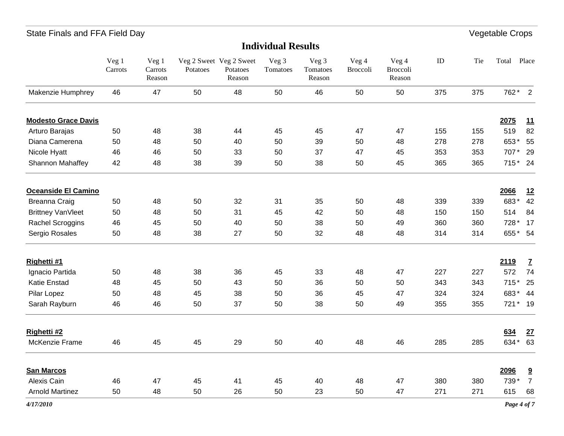| <b>Individual Results</b>  |                         |                            |          |                                               |                   |                             |                   |                             |     |     |             |                         |
|----------------------------|-------------------------|----------------------------|----------|-----------------------------------------------|-------------------|-----------------------------|-------------------|-----------------------------|-----|-----|-------------|-------------------------|
|                            | $\rm{Veg}$ 1<br>Carrots | Veg 1<br>Carrots<br>Reason | Potatoes | Veg 2 Sweet Veg 2 Sweet<br>Potatoes<br>Reason | Veg 3<br>Tomatoes | Veg 3<br>Tomatoes<br>Reason | Veg 4<br>Broccoli | Veg 4<br>Broccoli<br>Reason | ID  | Tie | Total Place |                         |
| Makenzie Humphrey          | 46                      | 47                         | 50       | 48                                            | 50                | 46                          | 50                | 50                          | 375 | 375 | 762* 2      |                         |
| <b>Modesto Grace Davis</b> |                         |                            |          |                                               |                   |                             |                   |                             |     |     | 2075        | <u>11</u>               |
| Arturo Barajas             | 50                      | 48                         | 38       | 44                                            | 45                | 45                          | 47                | 47                          | 155 | 155 | 519         | 82                      |
| Diana Camerena             | 50                      | 48                         | 50       | 40                                            | 50                | 39                          | 50                | 48                          | 278 | 278 | 653*        | 55                      |
| Nicole Hyatt               | 46                      | 46                         | 50       | 33                                            | 50                | 37                          | 47                | 45                          | 353 | 353 | 707*        | 29                      |
| Shannon Mahaffey           | 42                      | 48                         | 38       | 39                                            | 50                | 38                          | 50                | 45                          | 365 | 365 | 715* 24     |                         |
| Oceanside El Camino        |                         |                            |          |                                               |                   |                             |                   |                             |     |     | 2066        | 12                      |
| <b>Breanna Craig</b>       | 50                      | 48                         | 50       | 32                                            | 31                | 35                          | 50                | 48                          | 339 | 339 | 683*        | 42                      |
| <b>Brittney VanVleet</b>   | 50                      | 48                         | 50       | 31                                            | 45                | 42                          | 50                | 48                          | 150 | 150 | 514         | 84                      |
| Rachel Scroggins           | 46                      | 45                         | 50       | 40                                            | 50                | 38                          | 50                | 49                          | 360 | 360 | 728 *       | 17                      |
| Sergio Rosales             | 50                      | 48                         | 38       | 27                                            | 50                | 32                          | 48                | 48                          | 314 | 314 | 655* 54     |                         |
| Righetti #1                |                         |                            |          |                                               |                   |                             |                   |                             |     |     | 2119        | $\overline{L}$          |
| Ignacio Partida            | 50                      | 48                         | 38       | 36                                            | 45                | 33                          | 48                | 47                          | 227 | 227 | 572         | 74                      |
| <b>Katie Enstad</b>        | 48                      | 45                         | 50       | 43                                            | 50                | 36                          | 50                | 50                          | 343 | 343 | $715*$      | 25                      |
| Pilar Lopez                | 50                      | 48                         | 45       | 38                                            | 50                | 36                          | 45                | 47                          | 324 | 324 | 683*        | 44                      |
| Sarah Rayburn              | 46                      | 46                         | 50       | 37                                            | 50                | 38                          | 50                | 49                          | 355 | 355 | 721* 19     |                         |
| Righetti #2                |                         |                            |          |                                               |                   |                             |                   |                             |     |     | 634         | 27                      |
| McKenzie Frame             | 46                      | 45                         | 45       | 29                                            | 50                | 40                          | 48                | 46                          | 285 | 285 | 634* 63     |                         |
| <b>San Marcos</b>          |                         |                            |          |                                               |                   |                             |                   |                             |     |     | 2096        | $\overline{\mathbf{a}}$ |
| Alexis Cain                | 46                      | 47                         | 45       | 41                                            | 45                | 40                          | 48                | 47                          | 380 | 380 | 739*        | $\overline{7}$          |
| <b>Arnold Martinez</b>     | 50                      | 48                         | 50       | 26                                            | 50                | 23                          | 50                | 47                          | 271 | 271 | 615         | 68                      |
| 4/17/2010                  |                         |                            |          |                                               |                   |                             |                   |                             |     |     | Page 4 of 7 |                         |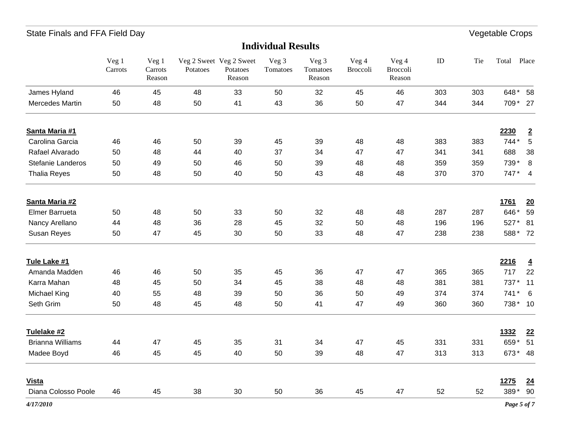| <b>Individual Results</b> |                         |                            |          |                                               |                   |                             |                   |                             |          |     |             |                 |
|---------------------------|-------------------------|----------------------------|----------|-----------------------------------------------|-------------------|-----------------------------|-------------------|-----------------------------|----------|-----|-------------|-----------------|
|                           | $\rm{Veg}$ 1<br>Carrots | Veg 1<br>Carrots<br>Reason | Potatoes | Veg 2 Sweet Veg 2 Sweet<br>Potatoes<br>Reason | Veg 3<br>Tomatoes | Veg 3<br>Tomatoes<br>Reason | Veg 4<br>Broccoli | Veg 4<br>Broccoli<br>Reason | $\rm ID$ | Tie | Total Place |                 |
| James Hyland              | 46                      | 45                         | 48       | 33                                            | 50                | 32                          | 45                | 46                          | 303      | 303 | 648*        | 58              |
| Mercedes Martin           | 50                      | 48                         | 50       | 41                                            | 43                | 36                          | 50                | 47                          | 344      | 344 | 709 * 27    |                 |
| Santa Maria #1            |                         |                            |          |                                               |                   |                             |                   |                             |          |     | 2230        | $\overline{2}$  |
| Carolina Garcia           | 46                      | 46                         | 50       | 39                                            | 45                | 39                          | 48                | 48                          | 383      | 383 | 744*        | $\,$ 5 $\,$     |
| Rafael Alvarado           | 50                      | 48                         | 44       | 40                                            | 37                | 34                          | 47                | 47                          | 341      | 341 | 688         | 38              |
| Stefanie Landeros         | 50                      | 49                         | 50       | 46                                            | 50                | 39                          | 48                | 48                          | 359      | 359 | 739*        | 8               |
| <b>Thalia Reyes</b>       | 50                      | 48                         | 50       | 40                                            | 50                | 43                          | 48                | 48                          | 370      | 370 | 747*        | $\overline{4}$  |
| Santa Maria #2            |                         |                            |          |                                               |                   |                             |                   |                             |          |     | <b>1761</b> | 20              |
| <b>Elmer Barrueta</b>     | 50                      | 48                         | 50       | 33                                            | 50                | 32                          | 48                | 48                          | 287      | 287 | 646*        | 59              |
| Nancy Arellano            | 44                      | 48                         | 36       | 28                                            | 45                | 32                          | 50                | 48                          | 196      | 196 | 527*        | 81              |
| Susan Reyes               | 50                      | 47                         | 45       | 30                                            | 50                | 33                          | 48                | 47                          | 238      | 238 | 588* 72     |                 |
| Tule Lake #1              |                         |                            |          |                                               |                   |                             |                   |                             |          |     | 2216        | $\overline{4}$  |
| Amanda Madden             | 46                      | 46                         | 50       | 35                                            | 45                | 36                          | 47                | 47                          | 365      | 365 | 717         | 22              |
| Karra Mahan               | 48                      | 45                         | 50       | 34                                            | 45                | 38                          | 48                | 48                          | 381      | 381 | 737*        | 11              |
| Michael King              | 40                      | 55                         | 48       | 39                                            | 50                | 36                          | 50                | 49                          | 374      | 374 | 741*        | 6               |
| Seth Grim                 | 50                      | 48                         | 45       | 48                                            | 50                | 41                          | 47                | 49                          | 360      | 360 | 738* 10     |                 |
| Tulelake #2               |                         |                            |          |                                               |                   |                             |                   |                             |          |     | 1332        | 22              |
| <b>Brianna Williams</b>   | 44                      | 47                         | 45       | 35                                            | 31                | 34                          | 47                | 45                          | 331      | 331 | 659*        | 51              |
| Madee Boyd                | 46                      | 45                         | 45       | 40                                            | 50                | 39                          | 48                | 47                          | 313      | 313 | 673* 48     |                 |
| <b>Vista</b>              |                         |                            |          |                                               |                   |                             |                   |                             |          |     | 1275        | $\overline{24}$ |
| Diana Colosso Poole       | 46                      | 45                         | 38       | 30                                            | 50                | 36                          | 45                | 47                          | 52       | 52  | 389*        | 90              |
| 4/17/2010                 |                         |                            |          |                                               |                   |                             |                   |                             |          |     | Page 5 of 7 |                 |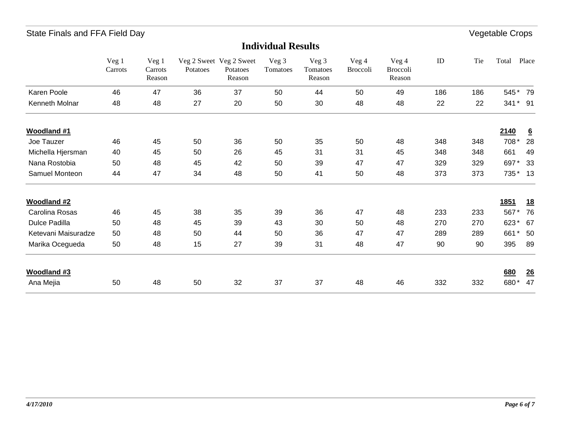|                      | Veg 1<br>Carrots | Veg 1<br>Carrots<br>Reason | Potatoes | Veg 2 Sweet Veg 2 Sweet<br>Potatoes<br>Reason | Veg 3<br>Tomatoes | Veg 3<br>Tomatoes<br>Reason | Veg 4<br><b>Broccoli</b> | Veg 4<br><b>Broccoli</b><br>Reason | ID  | Tie | Total       | Place           |
|----------------------|------------------|----------------------------|----------|-----------------------------------------------|-------------------|-----------------------------|--------------------------|------------------------------------|-----|-----|-------------|-----------------|
| Karen Poole          | 46               | 47                         | 36       | 37                                            | 50                | 44                          | 50                       | 49                                 | 186 | 186 | 545*        | 79              |
| Kenneth Molnar       | 48               | 48                         | 27       | 20                                            | 50                | 30                          | 48                       | 48                                 | 22  | 22  | 341         | $*$ 91          |
| <b>Woodland #1</b>   |                  |                            |          |                                               |                   |                             |                          |                                    |     |     | 2140        | $\underline{6}$ |
| Joe Tauzer           | 46               | 45                         | 50       | 36                                            | 50                | 35                          | 50                       | 48                                 | 348 | 348 | 708*        | 28              |
| Michella Hjersman    | 40               | 45                         | 50       | 26                                            | 45                | 31                          | 31                       | 45                                 | 348 | 348 | 661         | 49              |
| Nana Rostobia        | 50               | 48                         | 45       | 42                                            | 50                | 39                          | 47                       | 47                                 | 329 | 329 | 697*        | 33              |
| Samuel Monteon       | 44               | 47                         | 34       | 48                                            | 50                | 41                          | 50                       | 48                                 | 373 | 373 | 735* 13     |                 |
| <b>Woodland #2</b>   |                  |                            |          |                                               |                   |                             |                          |                                    |     |     | <u>1851</u> | <u>18</u>       |
| Carolina Rosas       | 46               | 45                         | 38       | 35                                            | 39                | 36                          | 47                       | 48                                 | 233 | 233 | 567*        | 76              |
| <b>Dulce Padilla</b> | 50               | 48                         | 45       | 39                                            | 43                | 30                          | 50                       | 48                                 | 270 | 270 | 623*        | 67              |
| Ketevani Maisuradze  | 50               | 48                         | 50       | 44                                            | 50                | 36                          | 47                       | 47                                 | 289 | 289 | 661<br>*    | 50              |
| Marika Ocegueda      | 50               | 48                         | 15       | 27                                            | 39                | 31                          | 48                       | 47                                 | 90  | 90  | 395         | 89              |
| <b>Woodland #3</b>   |                  |                            |          |                                               |                   |                             |                          |                                    |     |     | 680         | 26              |
| Ana Mejia            | 50               | 48                         | 50       | 32                                            | 37                | 37                          | 48                       | 46                                 | 332 | 332 | 680*        | 47              |